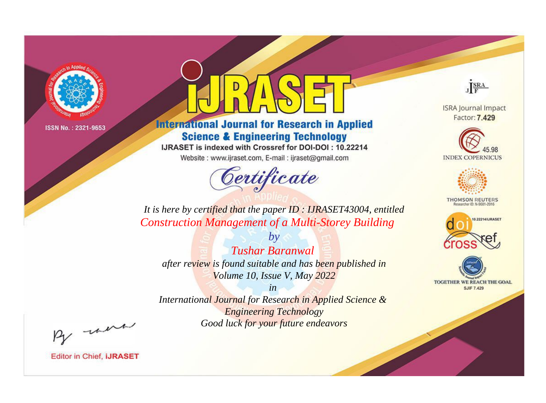

# **International Journal for Research in Applied Science & Engineering Technology**

IJRASET is indexed with Crossref for DOI-DOI: 10.22214

Website: www.ijraset.com, E-mail: ijraset@gmail.com



JERA

**ISRA Journal Impact** Factor: 7.429





**THOMSON REUTERS** 



TOGETHER WE REACH THE GOAL **SJIF 7.429** 

*It is here by certified that the paper ID : IJRASET43004, entitled Construction Management of a Multi-Storey Building*

*by Tushar Baranwal after review is found suitable and has been published in Volume 10, Issue V, May 2022*

*in* 

*International Journal for Research in Applied Science & Engineering Technology Good luck for your future endeavors*

By morn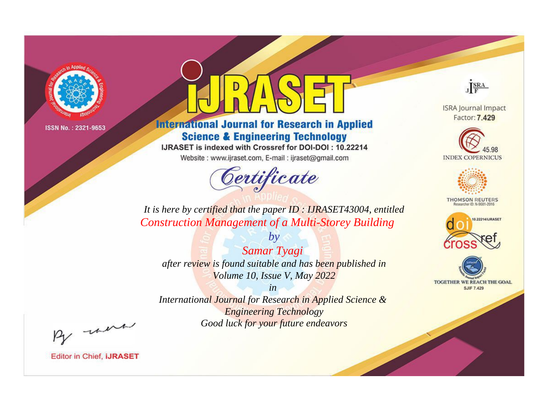

# **International Journal for Research in Applied Science & Engineering Technology**

IJRASET is indexed with Crossref for DOI-DOI: 10.22214

Website: www.ijraset.com, E-mail: ijraset@gmail.com



JERA

**ISRA Journal Impact** Factor: 7.429





**THOMSON REUTERS** 



TOGETHER WE REACH THE GOAL **SJIF 7.429** 

*It is here by certified that the paper ID : IJRASET43004, entitled Construction Management of a Multi-Storey Building*

*by Samar Tyagi after review is found suitable and has been published in Volume 10, Issue V, May 2022*

*in* 

*International Journal for Research in Applied Science & Engineering Technology Good luck for your future endeavors*

By morn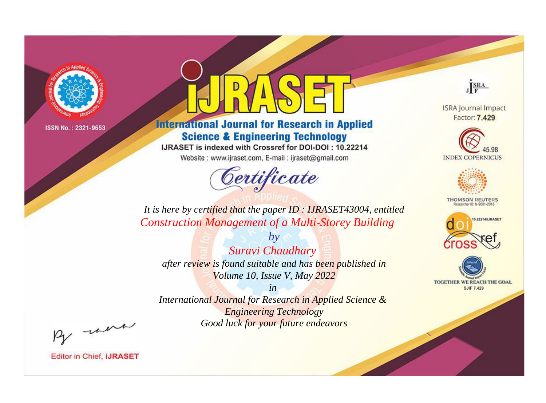

# **International Journal for Research in Applied Science & Engineering Technology**

IJRASET is indexed with Crossref for DOI-DOI: 10.22214

Website: www.ijraset.com, E-mail: ijraset@gmail.com



JERA

**ISRA Journal Impact** Factor: 7.429





**THOMSON REUTERS** 



TOGETHER WE REACH THE GOAL **SJIF 7.429** 

*It is here by certified that the paper ID : IJRASET43004, entitled Construction Management of a Multi-Storey Building*

*by Suravi Chaudhary after review is found suitable and has been published in Volume 10, Issue V, May 2022*

*in* 

*International Journal for Research in Applied Science & Engineering Technology Good luck for your future endeavors*

By morn